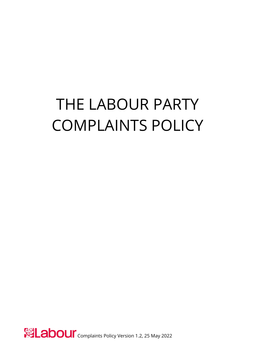# THE LABOUR PARTY COMPLAINTS POLICY

Complaints Policy Version 1.2, 25 May 2022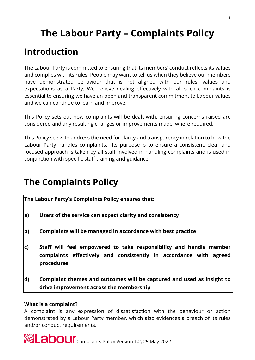# **The Labour Party – Complaints Policy**

### **Introduction**

The Labour Party is committed to ensuring that its members' conduct reflects its values and complies with its rules. People may want to tell us when they believe our members have demonstrated behaviour that is not aligned with our rules, values and expectations as a Party. We believe dealing effectively with all such complaints is essential to ensuring we have an open and transparent commitment to Labour values and we can continue to learn and improve.

This Policy sets out how complaints will be dealt with, ensuring concerns raised are considered and any resulting changes or improvements made, where required.

This Policy seeks to address the need for clarity and transparency in relation to how the Labour Party handles complaints. Its purpose is to ensure a consistent, clear and focused approach is taken by all staff involved in handling complaints and is used in conjunction with specific staff training and guidance.

### **The Complaints Policy**

**The Labour Party's Complaints Policy ensures that:**

- **a) Users of the service can expect clarity and consistency**
- **b) Complaints will be managed in accordance with best practice**
- **c) Staff will feel empowered to take responsibility and handle member complaints effectively and consistently in accordance with agreed procedures**
- **d) Complaint themes and outcomes will be captured and used as insight to drive improvement across the membership**

#### **What is a complaint?**

A complaint is any expression of dissatisfaction with the behaviour or action demonstrated by a Labour Party member, which also evidences a breach of its rules and/or conduct requirements.

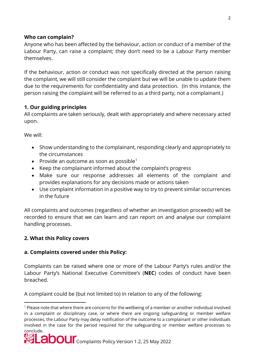#### **Who can complain?**

Anyone who has been affected by the behaviour, action or conduct of a member of the Labour Party, can raise a complaint; they don't need to be a Labour Party member themselves.

If the behaviour, action or conduct was not specifically directed at the person raising the complaint, we will still consider the complaint but we will be unable to update them due to the requirements for confidentiality and data protection. (In this instance, the person raising the complaint will be referred to as a third party, not a complainant.)

#### **1. Our guiding principles**

All complaints are taken seriously, dealt with appropriately and where necessary acted upon.

We will:

- Show understanding to the complainant, responding clearly and appropriately to the circumstances
- Provide an outcome as soon as possible<sup>[1](#page-2-0)</sup>
- Keep the complainant informed about the complaint's progress
- Make sure our response addresses all elements of the complaint and provides explanations for any decisions made or actions taken
- Use complaint information in a positive way to try to prevent similar occurrences in the future

All complaints and outcomes (regardless of whether an investigation proceeds) will be recorded to ensure that we can learn and can report on and analyse our complaint handling processes.

#### **2. What this Policy covers**

#### **a. Complaints covered under this Policy:**

Complaints can be raised where one or more of the Labour Party's rules and/or the Labour Party's National Executive Committee's (**NEC**) codes of conduct have been breached.

A complaint could be (but not limited to) in relation to any of the following:

<span id="page-2-0"></span> $\overline{a}$ <sup>1</sup> Please note that where there are concerns for the wellbeing of a member or another individual involved in a complaint or disciplinary case, or where there are ongoing safeguarding or member welfare processes, the Labour Party may delay notification of the outcome to a complainant or other individuals involved in the case for the period required for the safeguarding or member welfare processes to conclude.

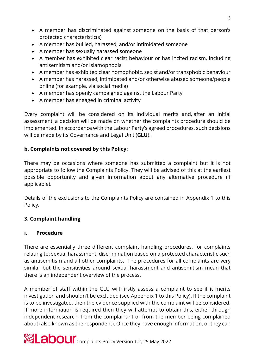- A member has discriminated against someone on the basis of that person's protected characteristic(s)
- A member has bullied, harassed, and/or intimidated someone
- A member has sexually harassed someone
- A member has exhibited clear racist behaviour or has incited racism, including antisemitism and/or Islamophobia
- A member has exhibited clear homophobic, sexist and/or transphobic behaviour
- A member has harassed, intimidated and/or otherwise abused someone/people online (for example, via social media)
- A member has openly campaigned against the Labour Party
- A member has engaged in criminal activity

Every complaint will be considered on its individual merits and, after an initial assessment, a decision will be made on whether the complaints procedure should be implemented. In accordance with the Labour Party's agreed procedures, such decisions will be made by its Governance and Legal Unit (**GLU**).

#### **b. Complaints not covered by this Policy:**

There may be occasions where someone has submitted a complaint but it is not appropriate to follow the Complaints Policy. They will be advised of this at the earliest possible opportunity and given information about any alternative procedure (if applicable).

Details of the exclusions to the Complaints Policy are contained in Appendix 1 to this Policy.

#### **3. Complaint handling**

#### **i. Procedure**

There are essentially three different complaint handling procedures, for complaints relating to: sexual harassment, discrimination based on a protected characteristic such as antisemitism and all other complaints. The procedures for all complaints are very similar but the sensitivities around sexual harassment and antisemitism mean that there is an independent overview of the process.

A member of staff within the GLU will firstly assess a complaint to see if it merits investigation and shouldn't be excluded (see Appendix 1 to this Policy). If the complaint is to be investigated, then the evidence supplied with the complaint will be considered. If more information is required then they will attempt to obtain this, either through independent research, from the complainant or from the member being complained about (also known as the respondent). Once they have enough information, or they can

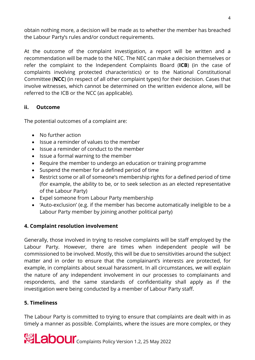obtain nothing more, a decision will be made as to whether the member has breached the Labour Party's rules and/or conduct requirements.

At the outcome of the complaint investigation, a report will be written and a recommendation will be made to the NEC. The NEC can make a decision themselves or refer the complaint to the Independent Complaints Board (**ICB**) (in the case of complaints involving protected characteristics) or to the National Constitutional Committee (**NCC**) (in respect of all other complaint types) for their decision. Cases that involve witnesses, which cannot be determined on the written evidence alone, will be referred to the ICB or the NCC (as applicable).

#### **ii. Outcome**

The potential outcomes of a complaint are:

- No further action
- Issue a reminder of values to the member
- Issue a reminder of conduct to the member
- Issue a formal warning to the member
- Require the member to undergo an education or training programme
- Suspend the member for a defined period of time
- Restrict some or all of someone's membership rights for a defined period of time (for example, the ability to be, or to seek selection as an elected representative of the Labour Party)
- Expel someone from Labour Party membership
- 'Auto-exclusion' (e.g. if the member has become automatically ineligible to be a Labour Party member by joining another political party)

#### **4. Complaint resolution involvement**

Generally, those involved in trying to resolve complaints will be staff employed by the Labour Party. However, there are times when independent people will be commissioned to be involved. Mostly, this will be due to sensitivities around the subject matter and in order to ensure that the complainant's interests are protected, for example, in complaints about sexual harassment. In all circumstances, we will explain the nature of any independent involvement in our processes to complainants and respondents, and the same standards of confidentiality shall apply as if the investigation were being conducted by a member of Labour Party staff.

#### **5. Timeliness**

The Labour Party is committed to trying to ensure that complaints are dealt with in as timely a manner as possible. Complaints, where the issues are more complex, or they

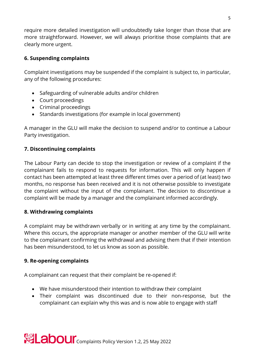require more detailed investigation will undoubtedly take longer than those that are more straightforward. However, we will always prioritise those complaints that are clearly more urgent.

#### **6. Suspending complaints**

Complaint investigations may be suspended if the complaint is subject to, in particular, any of the following procedures:

- Safeguarding of vulnerable adults and/or children
- Court proceedings
- Criminal proceedings
- Standards investigations (for example in local government)

A manager in the GLU will make the decision to suspend and/or to continue a Labour Party investigation.

#### **7. Discontinuing complaints**

The Labour Party can decide to stop the investigation or review of a complaint if the complainant fails to respond to requests for information. This will only happen if contact has been attempted at least three different times over a period of (at least) two months, no response has been received and it is not otherwise possible to investigate the complaint without the input of the complainant. The decision to discontinue a complaint will be made by a manager and the complainant informed accordingly.

#### **8. Withdrawing complaints**

A complaint may be withdrawn verbally or in writing at any time by the complainant. Where this occurs, the appropriate manager or another member of the GLU will write to the complainant confirming the withdrawal and advising them that if their intention has been misunderstood, to let us know as soon as possible.

#### **9. Re-opening complaints**

A complainant can request that their complaint be re-opened if:

- We have misunderstood their intention to withdraw their complaint
- Their complaint was discontinued due to their non-response, but the complainant can explain why this was and is now able to engage with staff

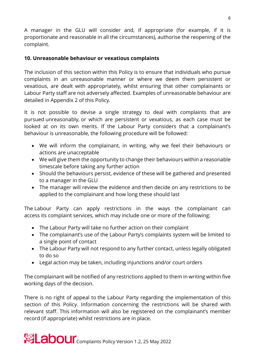A manager in the GLU will consider and, if appropriate (for example, if it is proportionate and reasonable in all the circumstances), authorise the reopening of the complaint.

#### **10. Unreasonable behaviour or vexatious complaints**

The inclusion of this section within this Policy is to ensure that individuals who pursue complaints in an unreasonable manner or where we deem them persistent or vexatious, are dealt with appropriately, whilst ensuring that other complainants or Labour Party staff are not adversely affected. Examples of unreasonable behaviour are detailed in Appendix 2 of this Policy.

It is not possible to devise a single strategy to deal with complaints that are pursued unreasonably, or which are persistent or vexatious, as each case must be looked at on its own merits. If the Labour Party considers that a complainant's behaviour is unreasonable, the following procedure will be followed:

- We will inform the complainant, in writing, why we feel their behaviours or actions are unacceptable
- We will give them the opportunity to change their behaviours within a reasonable timescale before taking any further action
- Should the behaviours persist, evidence of these will be gathered and presented to a manager in the GLU
- The manager will review the evidence and then decide on any restrictions to be applied to the complainant and how long these should last

The Labour Party can apply restrictions in the ways the complainant can access its complaint services, which may include one or more of the following:

- The Labour Party will take no further action on their complaint
- The complainant's use of the Labour Party's complaints system will be limited to a single point of contact
- The Labour Party will not respond to any further contact, unless legally obligated to do so
- Legal action may be taken, including injunctions and/or court orders

The complainant will be notified of any restrictions applied to them in writing within five working days of the decision.

There is no right of appeal to the Labour Party regarding the implementation of this section of this Policy. Information concerning the restrictions will be shared with relevant staff. This information will also be registered on the complainant's member record (if appropriate) whilst restrictions are in place.

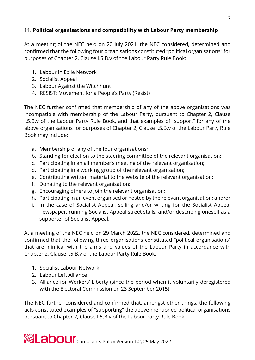#### **11. Political organisations and compatibility with Labour Party membership**

At a meeting of the NEC held on 20 July 2021, the NEC considered, determined and confirmed that the following four organisations constituted "political organisations" for purposes of Chapter 2, Clause I.5.B.v of the Labour Party Rule Book:

- 1. Labour in Exile Network
- 2. Socialist Appeal
- 3. Labour Against the Witchhunt
- 4. RESIST: Movement for a People's Party (Resist)

The NEC further confirmed that membership of any of the above organisations was incompatible with membership of the Labour Party, pursuant to Chapter 2, Clause I.5.B.v of the Labour Party Rule Book, and that examples of "support" for any of the above organisations for purposes of Chapter 2, Clause I.5.B.v of the Labour Party Rule Book may include:

- a. Membership of any of the four organisations;
- b. Standing for election to the steering committee of the relevant organisation;
- c. Participating in an all member's meeting of the relevant organisation;
- d. Participating in a working group of the relevant organisation;
- e. Contributing written material to the website of the relevant organisation;
- f. Donating to the relevant organisation;
- g. Encouraging others to join the relevant organisation;
- h. Participating in an event organised or hosted by the relevant organisation; and/or
- i. In the case of Socialist Appeal, selling and/or writing for the Socialist Appeal newspaper, running Socialist Appeal street stalls, and/or describing oneself as a supporter of Socialist Appeal.

At a meeting of the NEC held on 29 March 2022, the NEC considered, determined and confirmed that the following three organisations constituted "political organisations" that are inimical with the aims and values of the Labour Party in accordance with Chapter 2, Clause I.5.B.v of the Labour Party Rule Book:

- 1. Socialist Labour Network
- 2. Labour Left Alliance
- 3. Alliance for Workers' Liberty (since the period when it voluntarily deregistered with the Electoral Commission on 23 September 2015)

The NEC further considered and confirmed that, amongst other things, the following acts constituted examples of "supporting" the above-mentioned political organisations pursuant to Chapter 2, Clause I.5.B.v of the Labour Party Rule Book:

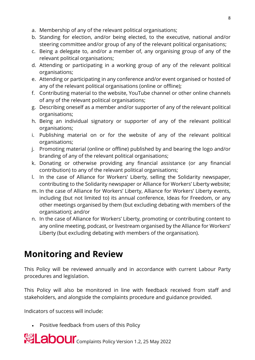- a. Membership of any of the relevant political organisations;
- b. Standing for election, and/or being elected, to the executive, national and/or steering committee and/or group of any of the relevant political organisations;
- c. Being a delegate to, and/or a member of, any organising group of any of the relevant political organisations;
- d. Attending or participating in a working group of any of the relevant political organisations;
- e. Attending or participating in any conference and/or event organised or hosted of any of the relevant political organisations (online or offline);
- f. Contributing material to the website, YouTube channel or other online channels of any of the relevant political organisations;
- g. Describing oneself as a member and/or supporter of any of the relevant political organisations;
- h. Being an individual signatory or supporter of any of the relevant political organisations;
- i. Publishing material on or for the website of any of the relevant political organisations;
- j. Promoting material (online or offline) published by and bearing the logo and/or branding of any of the relevant political organisations;
- k. Donating or otherwise providing any financial assistance (or any financial contribution) to any of the relevant political organisations;
- l. In the case of Alliance for Workers' Liberty, selling the Solidarity newspaper, contributing to the Solidarity newspaper or Alliance for Workers' Liberty website;
- m. In the case of Alliance for Workers' Liberty, Alliance for Workers' Liberty events, including (but not limited to) its annual conference, Ideas for Freedom, or any other meetings organised by them (but excluding debating with members of the organisation); and/or
- n. In the case of Alliance for Workers' Liberty, promoting or contributing content to any online meeting, podcast, or livestream organised by the Alliance for Workers' Liberty (but excluding debating with members of the organisation).

## **Monitoring and Review**

This Policy will be reviewed annually and in accordance with current Labour Party procedures and legislation.

This Policy will also be monitored in line with feedback received from staff and stakeholders, and alongside the complaints procedure and guidance provided.

Indicators of success will include:

• Positive feedback from users of this Policy

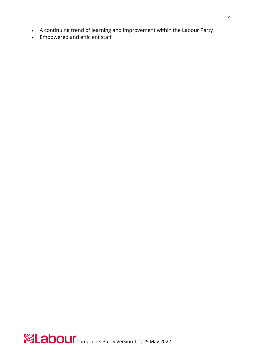- A continuing trend of learning and improvement within the Labour Party
- Empowered and efficient staff

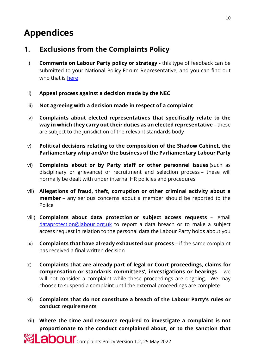### **Appendices**

### **1. Exclusions from the Complaints Policy**

- i) **Comments on Labour Party policy or strategy** this type of feedback can be submitted to your National Policy Forum Representative, and you can find out who that is [here](https://www.policyforum.labour.org.uk/about/npf)
- ii) **Appeal process against a decision made by the NEC**
- iii) **Not agreeing with a decision made in respect of a complaint**
- iv) **Complaints about elected representatives that specifically relate to the way in which they carry out their duties as an elected representative** – these are subject to the jurisdiction of the relevant standards body
- v) **Political decisions relating to the composition of the Shadow Cabinet, the Parliamentary whip and/or the business of the Parliamentary Labour Party**
- vi) **Complaints about or by Party staff or other personnel issues** (such as disciplinary or grievance) or recruitment and selection process – these will normally be dealt with under internal HR policies and procedures
- vii) **Allegations of fraud, theft, corruption or other criminal activity about a member** – any serious concerns about a member should be reported to the Police
- viii) **Complaints about data protection or subject access requests** email [dataprotection@labour.org.uk](mailto:dataprotection@labour.org.uk) to report a data breach or to make a subject access request in relation to the personal data the Labour Party holds about you
- ix) **Complaints that have already exhausted our process** if the same complaint has received a final written decision
- x) **Complaints that are already part of legal or Court proceedings, claims for compensation or standards committees', investigations or hearings** – we will not consider a complaint while these proceedings are ongoing. We may choose to suspend a complaint until the external proceedings are complete
- xi) **Complaints that do not constitute a breach of the Labour Party's rules or conduct requirements**
- xii) **Where the time and resource required to investigate a complaint is not proportionate to the conduct complained about, or to the sanction that**

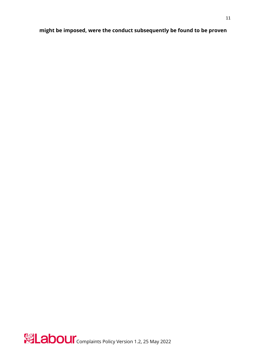#### **might be imposed, were the conduct subsequently be found to be proven**